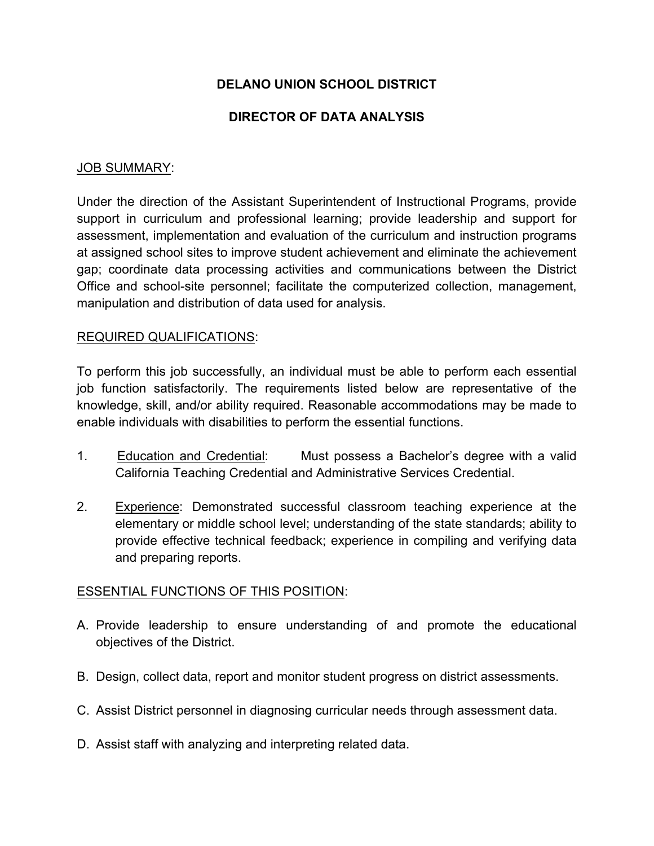# **DELANO UNION SCHOOL DISTRICT**

## **DIRECTOR OF DATA ANALYSIS**

### JOB SUMMARY:

Under the direction of the Assistant Superintendent of Instructional Programs, provide support in curriculum and professional learning; provide leadership and support for assessment, implementation and evaluation of the curriculum and instruction programs at assigned school sites to improve student achievement and eliminate the achievement gap; coordinate data processing activities and communications between the District Office and school-site personnel; facilitate the computerized collection, management, manipulation and distribution of data used for analysis.

#### REQUIRED QUALIFICATIONS:

To perform this job successfully, an individual must be able to perform each essential job function satisfactorily. The requirements listed below are representative of the knowledge, skill, and/or ability required. Reasonable accommodations may be made to enable individuals with disabilities to perform the essential functions.

- 1. Education and Credential: Must possess a Bachelor's degree with a valid California Teaching Credential and Administrative Services Credential.
- 2. Experience: Demonstrated successful classroom teaching experience at the elementary or middle school level; understanding of the state standards; ability to provide effective technical feedback; experience in compiling and verifying data and preparing reports.

#### ESSENTIAL FUNCTIONS OF THIS POSITION:

- A. Provide leadership to ensure understanding of and promote the educational objectives of the District.
- B. Design, collect data, report and monitor student progress on district assessments.
- C. Assist District personnel in diagnosing curricular needs through assessment data.
- D. Assist staff with analyzing and interpreting related data.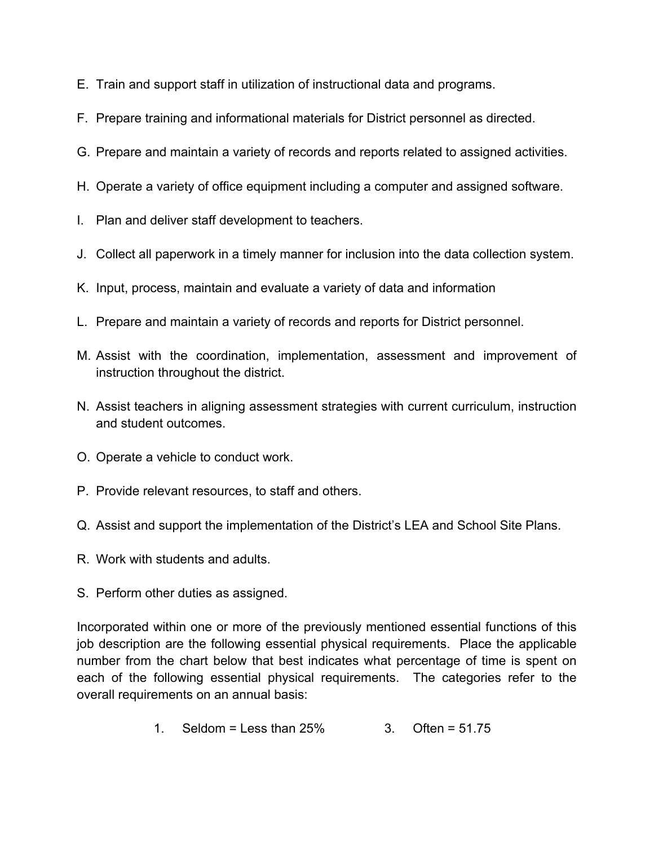- E. Train and support staff in utilization of instructional data and programs.
- F. Prepare training and informational materials for District personnel as directed.
- G. Prepare and maintain a variety of records and reports related to assigned activities.
- H. Operate a variety of office equipment including a computer and assigned software.
- I. Plan and deliver staff development to teachers.
- J. Collect all paperwork in a timely manner for inclusion into the data collection system.
- K. Input, process, maintain and evaluate a variety of data and information
- L. Prepare and maintain a variety of records and reports for District personnel.
- M. Assist with the coordination, implementation, assessment and improvement of instruction throughout the district.
- N. Assist teachers in aligning assessment strategies with current curriculum, instruction and student outcomes.
- O. Operate a vehicle to conduct work.
- P. Provide relevant resources, to staff and others.
- Q. Assist and support the implementation of the District's LEA and School Site Plans.
- R. Work with students and adults.
- S. Perform other duties as assigned.

Incorporated within one or more of the previously mentioned essential functions of this job description are the following essential physical requirements. Place the applicable number from the chart below that best indicates what percentage of time is spent on each of the following essential physical requirements. The categories refer to the overall requirements on an annual basis:

1. Seldom = Less than  $25\%$  3. Often =  $51.75$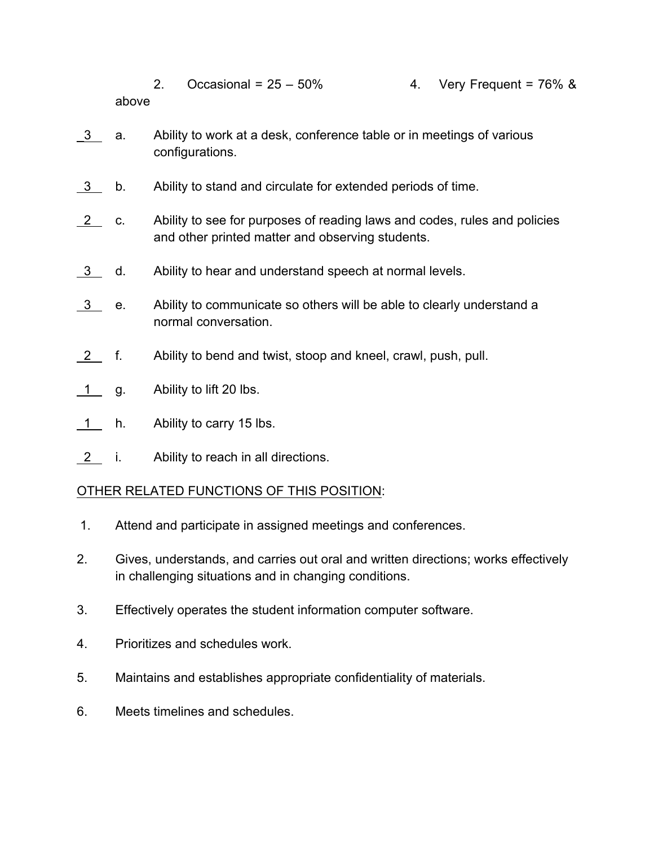- 2. Occasional =  $25 50\%$  4. Very Frequent =  $76\%$  & above
- \_3 a. Ability to work at a desk, conference table or in meetings of various configurations.
- 3 b. Ability to stand and circulate for extended periods of time.
- 2 c. Ability to see for purposes of reading laws and codes, rules and policies and other printed matter and observing students.
- 3 d. Ability to hear and understand speech at normal levels.
- 3 e. Ability to communicate so others will be able to clearly understand a normal conversation.
- 2 f. Ability to bend and twist, stoop and kneel, crawl, push, pull.
- 1 g. Ability to lift 20 lbs.
- 1 h. Ability to carry 15 lbs.
- 2 i. Ability to reach in all directions.

## OTHER RELATED FUNCTIONS OF THIS POSITION:

- 1. Attend and participate in assigned meetings and conferences.
- 2. Gives, understands, and carries out oral and written directions; works effectively in challenging situations and in changing conditions.
- 3. Effectively operates the student information computer software.
- 4. Prioritizes and schedules work.
- 5. Maintains and establishes appropriate confidentiality of materials.
- 6. Meets timelines and schedules.